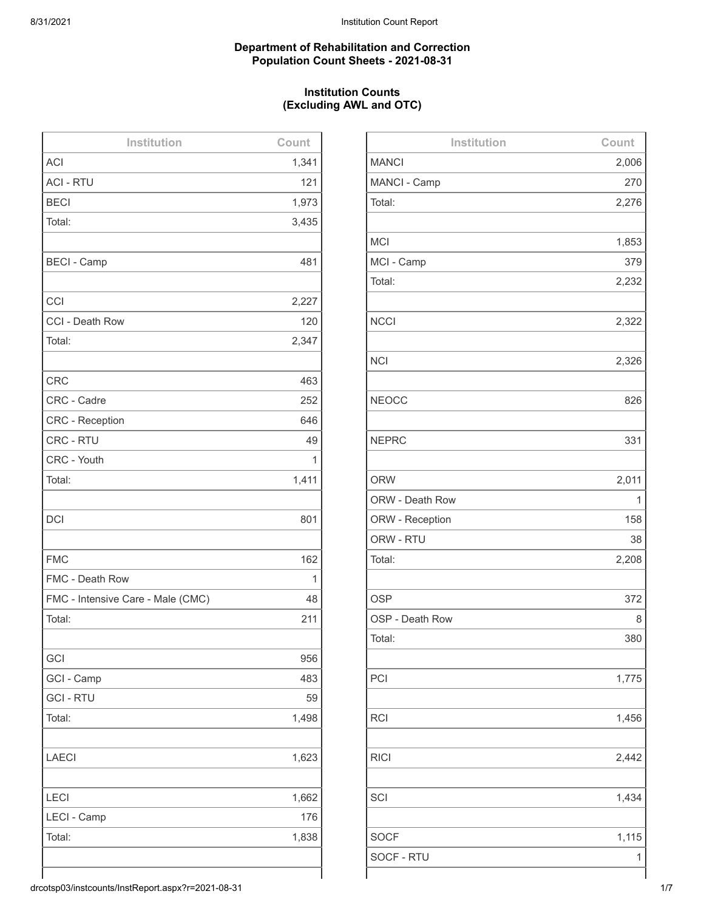## **Department of Rehabilitation and Correction Population Count Sheets - 2021-08-31**

# **Institution Counts (Excluding AWL and OTC)**

| Institution                       | Count |
|-----------------------------------|-------|
| <b>ACI</b>                        | 1,341 |
| <b>ACI - RTU</b>                  | 121   |
| <b>BECI</b>                       | 1,973 |
| Total:                            | 3,435 |
|                                   |       |
| <b>BECI - Camp</b>                | 481   |
|                                   |       |
| CCI                               | 2,227 |
| CCI - Death Row                   | 120   |
| Total:                            | 2,347 |
|                                   |       |
| <b>CRC</b>                        | 463   |
| CRC - Cadre                       | 252   |
| <b>CRC - Reception</b>            | 646   |
| <b>CRC - RTU</b>                  | 49    |
| CRC - Youth                       | 1     |
| Total:                            | 1,411 |
|                                   |       |
| <b>DCI</b>                        | 801   |
|                                   |       |
| <b>FMC</b>                        | 162   |
| FMC - Death Row                   | 1     |
| FMC - Intensive Care - Male (CMC) | 48    |
| Total:                            | 211   |
|                                   |       |
| GCI                               | 956   |
| GCI - Camp                        | 483   |
| <b>GCI - RTU</b>                  | 59    |
| Total:                            | 1,498 |
|                                   |       |
| <b>LAECI</b>                      | 1,623 |
|                                   |       |
| LECI                              | 1,662 |
| LECI - Camp                       | 176   |
| Total:                            | 1,838 |
|                                   |       |
|                                   |       |

| Institution     | Count |
|-----------------|-------|
| <b>MANCI</b>    | 2,006 |
| MANCI - Camp    | 270   |
| Total:          | 2,276 |
|                 |       |
| <b>MCI</b>      | 1,853 |
| MCI - Camp      | 379   |
| Total:          | 2,232 |
|                 |       |
| <b>NCCI</b>     | 2,322 |
|                 |       |
| <b>NCI</b>      | 2,326 |
|                 |       |
| <b>NEOCC</b>    | 826   |
|                 |       |
| <b>NEPRC</b>    | 331   |
|                 |       |
| <b>ORW</b>      | 2,011 |
| ORW - Death Row | 1     |
| ORW - Reception | 158   |
| ORW - RTU       | 38    |
| Total:          | 2,208 |
|                 |       |
| <b>OSP</b>      | 372   |
| OSP - Death Row | 8     |
| Total:          | 380   |
|                 |       |
| PCI             | 1,775 |
|                 |       |
| <b>RCI</b>      | 1,456 |
|                 |       |
| <b>RICI</b>     | 2,442 |
|                 |       |
| SCI             | 1,434 |
|                 |       |
| <b>SOCF</b>     | 1,115 |
| SOCF - RTU      | 1     |
|                 |       |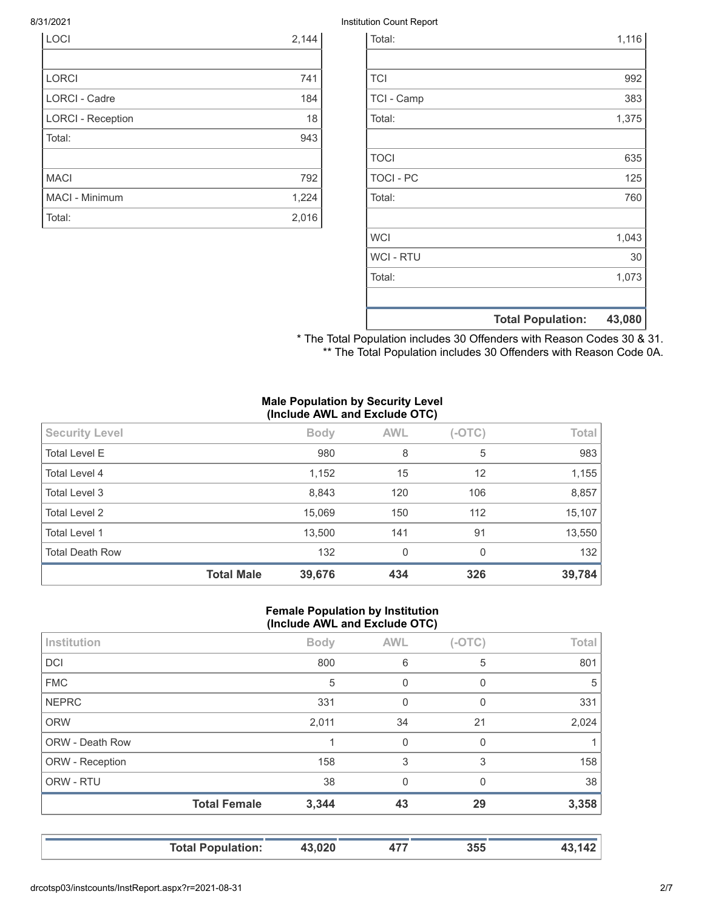| <b>LOCI</b>              | 2,144 |
|--------------------------|-------|
|                          |       |
| <b>LORCI</b>             | 741   |
| <b>LORCI - Cadre</b>     | 184   |
| <b>LORCI - Reception</b> | 18    |
| Total:                   | 943   |
|                          |       |
| <b>MACI</b>              | 792   |
| <b>MACI - Minimum</b>    | 1,224 |
| Total:                   | 2,016 |

## 8/31/2021 Institution Count Report

|                  | <b>Total Population:</b> | 43,080 |
|------------------|--------------------------|--------|
|                  |                          |        |
| Total:           |                          | 1,073  |
| <b>WCI - RTU</b> |                          | 30     |
| <b>WCI</b>       |                          | 1,043  |
|                  |                          |        |
| Total:           |                          | 760    |
| <b>TOCI - PC</b> |                          | 125    |
| <b>TOCI</b>      |                          | 635    |
|                  |                          |        |
| Total:           |                          | 1,375  |
| TCI - Camp       |                          | 383    |
| <b>TCI</b>       |                          | 992    |
|                  |                          |        |
| Total:           |                          | 1,116  |

\* The Total Population includes 30 Offenders with Reason Codes 30 & 31. \*\* The Total Population includes 30 Offenders with Reason Code 0A.

#### **Male Population by Security Level (Include AWL and Exclude OTC)**

| 5<br><b>Total Level E</b><br>980<br>8<br>12<br>1,152<br>Total Level 4<br>15<br>8,843<br>Total Level 3<br>120<br>106<br><b>Total Level 2</b><br>15,069<br>112<br>150<br><b>Total Level 1</b><br>13,500<br>141<br>91<br><b>Total Death Row</b><br>132<br>$\mathbf{0}$<br>$\Omega$ |                       | <b>Total Male</b> | 39,676      | 434        | 326      | 39,784 |
|---------------------------------------------------------------------------------------------------------------------------------------------------------------------------------------------------------------------------------------------------------------------------------|-----------------------|-------------------|-------------|------------|----------|--------|
|                                                                                                                                                                                                                                                                                 |                       |                   |             |            |          | 132    |
|                                                                                                                                                                                                                                                                                 |                       |                   |             |            |          | 13,550 |
|                                                                                                                                                                                                                                                                                 |                       |                   |             |            |          | 15,107 |
|                                                                                                                                                                                                                                                                                 |                       |                   |             |            |          | 8,857  |
|                                                                                                                                                                                                                                                                                 |                       |                   |             |            |          | 1,155  |
|                                                                                                                                                                                                                                                                                 |                       |                   |             |            |          | 983    |
|                                                                                                                                                                                                                                                                                 | <b>Security Level</b> |                   | <b>Body</b> | <b>AWL</b> | $(-OTC)$ | Total  |

#### **Female Population by Institution (Include AWL and Exclude OTC)**

| Institution            |                     | <b>Body</b> | <b>AWL</b> | $(-OTC)$ | Total |
|------------------------|---------------------|-------------|------------|----------|-------|
| <b>DCI</b>             |                     | 800         | 6          | 5        | 801   |
| <b>FMC</b>             |                     | 5           | 0          | 0        | 5     |
| <b>NEPRC</b>           |                     | 331         | $\Omega$   | 0        | 331   |
| <b>ORW</b>             |                     | 2,011       | 34         | 21       | 2,024 |
| <b>ORW - Death Row</b> |                     |             | 0          | 0        |       |
| ORW - Reception        |                     | 158         | 3          | 3        | 158   |
| ORW - RTU              |                     | 38          | $\Omega$   | 0        | 38    |
|                        | <b>Total Female</b> | 3,344       | 43         | 29       | 3,358 |
|                        |                     |             |            |          |       |

**Total Population: 43,020 477 355 43,142**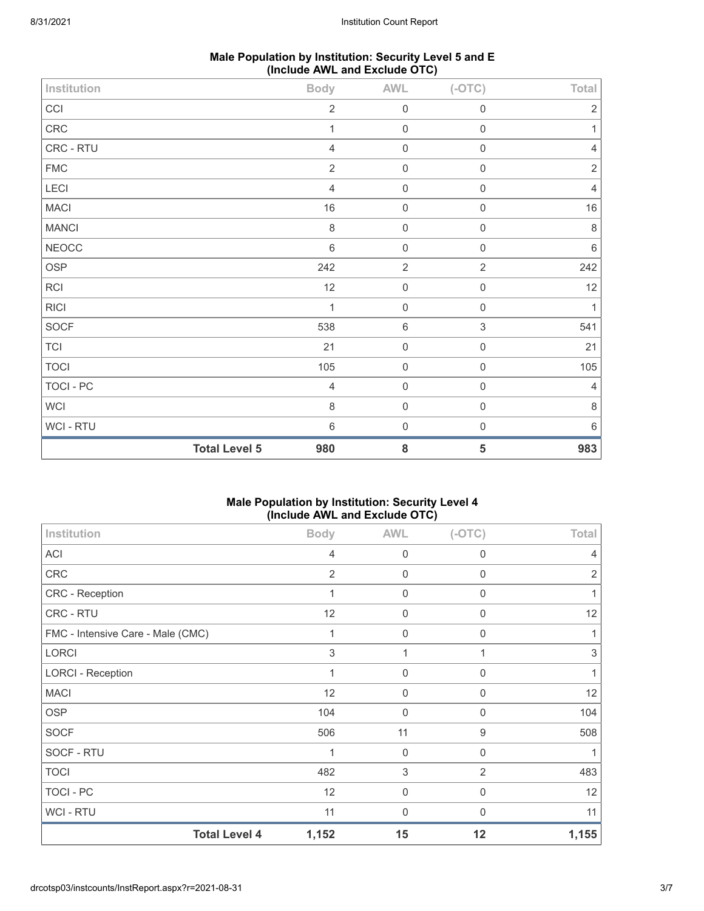| Male Population by Institution: Security Level 5 and E |  |
|--------------------------------------------------------|--|
| (Include AWL and Exclude OTC)                          |  |

| Institution      |                      | <b>Body</b>    | AWL              | $(-OTC)$            | Total          |
|------------------|----------------------|----------------|------------------|---------------------|----------------|
| CCI              |                      | $\overline{2}$ | $\mathbf 0$      | $\,0\,$             | $\overline{2}$ |
| CRC              |                      | 1              | $\mathbf 0$      | 0                   |                |
| CRC - RTU        |                      | $\overline{4}$ | $\mathbf 0$      | $\mathsf{O}\xspace$ | $\overline{4}$ |
| <b>FMC</b>       |                      | $\overline{2}$ | $\mathbf 0$      | $\mathsf{O}\xspace$ | $\overline{2}$ |
| <b>LECI</b>      |                      | $\overline{4}$ | $\mathbf 0$      | $\mathsf{O}\xspace$ | $\overline{4}$ |
| <b>MACI</b>      |                      | $16$           | $\mathbf 0$      | $\boldsymbol{0}$    | $16\,$         |
| <b>MANCI</b>     |                      | $\,8\,$        | $\boldsymbol{0}$ | $\mathsf{O}\xspace$ | $\,8\,$        |
| <b>NEOCC</b>     |                      | $\,6\,$        | $\mathbf 0$      | $\mathsf{O}\xspace$ | $\,6\,$        |
| <b>OSP</b>       |                      | 242            | $\sqrt{2}$       | $\overline{2}$      | 242            |
| <b>RCI</b>       |                      | 12             | $\mathbf 0$      | $\mathsf{O}\xspace$ | 12             |
| <b>RICI</b>      |                      | 1              | $\mathbf 0$      | $\mathsf{O}\xspace$ | $\mathbf{1}$   |
| <b>SOCF</b>      |                      | 538            | $\,6\,$          | $\mathfrak{S}$      | 541            |
| <b>TCI</b>       |                      | 21             | $\mathbf 0$      | $\mathsf 0$         | 21             |
| <b>TOCI</b>      |                      | 105            | $\mathbf 0$      | $\boldsymbol{0}$    | 105            |
| <b>TOCI - PC</b> |                      | $\overline{4}$ | $\mathbf 0$      | $\mathsf 0$         | 4              |
| <b>WCI</b>       |                      | $\,8\,$        | $\mathbf 0$      | $\mathsf{O}\xspace$ | $\,8\,$        |
| WCI - RTU        |                      | $\,6\,$        | $\mathbf 0$      | $\mathsf{O}\xspace$ | 6              |
|                  | <b>Total Level 5</b> | 980            | ${\bf 8}$        | 5                   | 983            |

## **Male Population by Institution: Security Level 4 (Include AWL and Exclude OTC)**

| Institution                       | <b>Body</b>    | <b>AWL</b>  | $(-OTC)$       | Total |
|-----------------------------------|----------------|-------------|----------------|-------|
| <b>ACI</b>                        | 4              | $\mathbf 0$ | 0              | 4     |
| <b>CRC</b>                        | $\overline{2}$ | 0           | $\mathbf 0$    | 2     |
| CRC - Reception                   | $\mathbf{1}$   | $\mathbf 0$ | $\mathbf{0}$   |       |
| CRC - RTU                         | 12             | 0           | 0              | 12    |
| FMC - Intensive Care - Male (CMC) | $\mathbf{1}$   | $\mathbf 0$ | $\mathbf 0$    |       |
| <b>LORCI</b>                      | 3              | 1           | 1              | 3     |
| <b>LORCI - Reception</b>          | 1              | 0           | $\mathbf{0}$   |       |
| <b>MACI</b>                       | 12             | 0           | 0              | 12    |
| <b>OSP</b>                        | 104            | $\mathbf 0$ | $\mathbf 0$    | 104   |
| <b>SOCF</b>                       | 506            | 11          | 9              | 508   |
| SOCF - RTU                        |                | $\mathbf 0$ | 0              |       |
| <b>TOCI</b>                       | 482            | 3           | $\overline{2}$ | 483   |
| <b>TOCI - PC</b>                  | 12             | $\mathbf 0$ | 0              | 12    |
| WCI - RTU                         | 11             | 0           | $\mathbf{0}$   | 11    |
| <b>Total Level 4</b>              | 1,152          | 15          | 12             | 1,155 |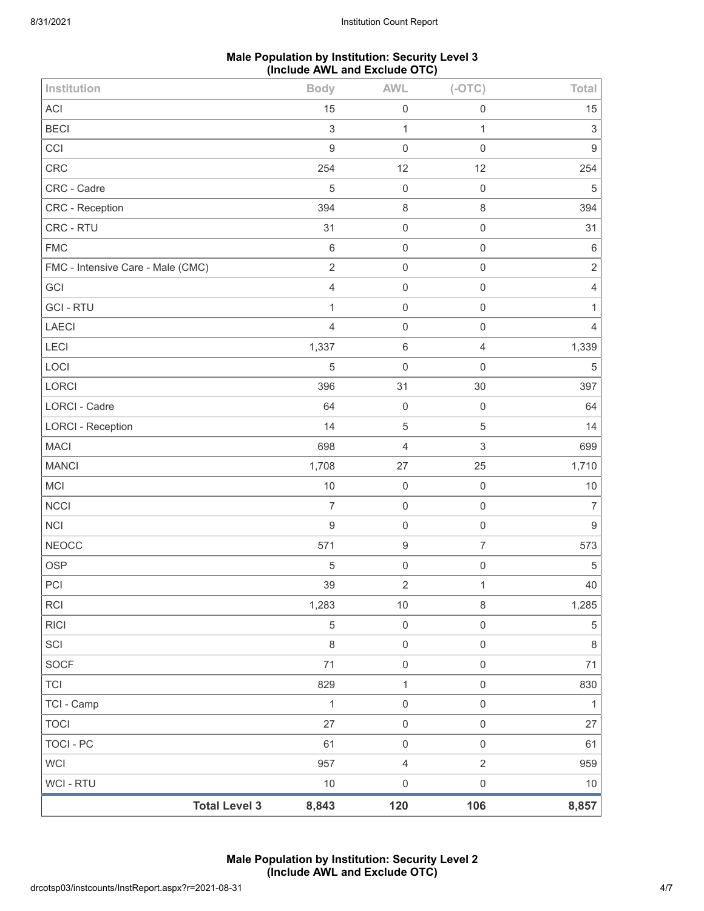## **Male Population by Institution: Security Level 3 (Include AWL and Exclude OTC)**

| Institution                       | <b>Body</b>               | <b>AWL</b>          | $(-OTC)$                  | Total            |
|-----------------------------------|---------------------------|---------------------|---------------------------|------------------|
| <b>ACI</b>                        | 15                        | $\mathbf 0$         | 0                         | 15               |
| <b>BECI</b>                       | $\ensuremath{\mathsf{3}}$ | $\mathbf{1}$        | 1                         | 3                |
| CCI                               | $\boldsymbol{9}$          | $\mathbf 0$         | $\mathsf{O}\xspace$       | $\mathsf g$      |
| CRC                               | 254                       | 12                  | 12                        | 254              |
| CRC - Cadre                       | 5                         | $\mathbf 0$         | $\mathbf 0$               | $\sqrt{5}$       |
| CRC - Reception                   | 394                       | $\,8\,$             | 8                         | 394              |
| CRC - RTU                         | 31                        | $\mathbf 0$         | $\mathsf 0$               | 31               |
| <b>FMC</b>                        | $\,6\,$                   | $\mathbf 0$         | $\mathsf{O}\xspace$       | $\,6\,$          |
| FMC - Intensive Care - Male (CMC) | $\sqrt{2}$                | $\mathbf 0$         | 0                         | $\sqrt{2}$       |
| GCI                               | $\overline{4}$            | $\mathbf 0$         | $\mathsf{O}\xspace$       | 4                |
| <b>GCI-RTU</b>                    | 1                         | $\mathbf 0$         | $\mathbf 0$               | 1                |
| <b>LAECI</b>                      | $\overline{4}$            | $\mathbf 0$         | $\mathbf 0$               | $\overline{4}$   |
| LECI                              | 1,337                     | $\,6\,$             | 4                         | 1,339            |
| LOCI                              | 5                         | $\mathbf 0$         | $\mathsf{O}\xspace$       | $\mathbf 5$      |
| LORCI                             | 396                       | 31                  | 30                        | 397              |
| LORCI - Cadre                     | 64                        | $\mathbf 0$         | $\mathbf 0$               | 64               |
| <b>LORCI - Reception</b>          | 14                        | $\sqrt{5}$          | 5                         | 14               |
| <b>MACI</b>                       | 698                       | $\overline{4}$      | $\ensuremath{\mathsf{3}}$ | 699              |
| <b>MANCI</b>                      | 1,708                     | 27                  | 25                        | 1,710            |
| <b>MCI</b>                        | $10$                      | $\mathbf 0$         | $\mathbf 0$               | $10$             |
| <b>NCCI</b>                       | $\overline{7}$            | $\mathbf 0$         | $\mathsf 0$               | $\overline{7}$   |
| <b>NCI</b>                        | 9                         | $\mathbf 0$         | $\mathsf 0$               | $\boldsymbol{9}$ |
| <b>NEOCC</b>                      | 571                       | $\boldsymbol{9}$    | $\overline{7}$            | 573              |
| <b>OSP</b>                        | 5                         | $\mathsf{O}\xspace$ | $\mathsf 0$               | $\sqrt{5}$       |
| PCI                               | 39                        | $\mathbf 2$         | 1                         | 40               |
| <b>RCI</b>                        | 1,283                     | $10$                | $\,8\,$                   | 1,285            |
| <b>RICI</b>                       | 5                         | $\mathbf 0$         | $\boldsymbol{0}$          | $\,$ 5 $\,$      |
| SCI                               | $\,8\,$                   | $\mathbf 0$         | $\,0\,$                   | $\,8\,$          |
| <b>SOCF</b>                       | 71                        | $\mathbf 0$         | $\mathsf{O}\xspace$       | 71               |
| <b>TCI</b>                        | 829                       | $\mathbf{1}$        | $\mathsf{O}\xspace$       | 830              |
| TCI - Camp                        | $\mathbf{1}$              | $\mathbf 0$         | $\mathsf 0$               | $\mathbf{1}$     |
| <b>TOCI</b>                       | 27                        | $\mathsf{O}\xspace$ | $\,0\,$                   | 27               |
| <b>TOCI - PC</b>                  | 61                        | $\mathbf 0$         | $\mathsf{O}\xspace$       | 61               |
| <b>WCI</b>                        | 957                       | $\sqrt{4}$          | $\overline{2}$            | 959              |
| WCI - RTU                         | $10$                      | $\mathbf 0$         | $\mathsf{O}\xspace$       | $10$             |
| <b>Total Level 3</b>              | 8,843                     | 120                 | 106                       | 8,857            |

**Male Population by Institution: Security Level 2 (Include AWL and Exclude OTC)**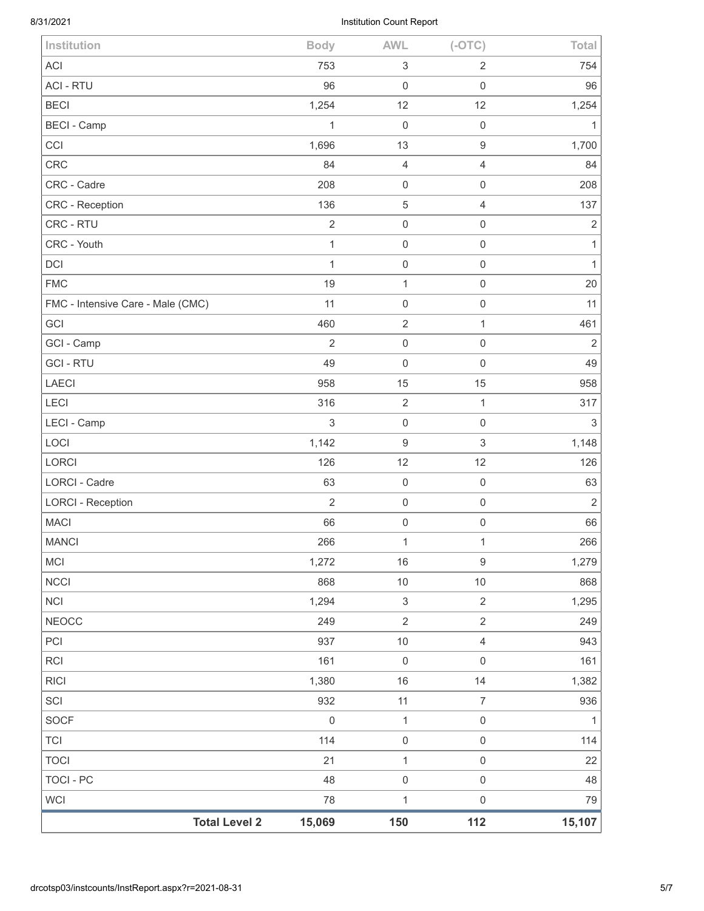# 8/31/2021 Institution Count Report

| <b>Total Level 2</b>              | 15,069              | 150                       | 112                       | 15,107         |
|-----------------------------------|---------------------|---------------------------|---------------------------|----------------|
| <b>WCI</b>                        | 78                  | $\mathbf 1$               | $\mathsf 0$               | 79             |
| <b>TOCI - PC</b>                  | 48                  | $\mathsf{O}\xspace$       | $\mathsf{O}\xspace$       | 48             |
| <b>TOCI</b>                       | 21                  | $\mathbf{1}$              | $\mathsf{O}\xspace$       | 22             |
| <b>TCI</b>                        | 114                 | $\mathsf{O}\xspace$       | $\mathbf 0$               | 114            |
| SOCF                              | $\mathsf{O}\xspace$ | $\mathbf{1}$              | $\mathsf{O}\xspace$       | $\mathbf{1}$   |
| SCI                               | 932                 | 11                        | $\overline{7}$            | 936            |
| <b>RICI</b>                       | 1,380               | 16                        | 14                        | 1,382          |
| <b>RCI</b>                        | 161                 | $\mathsf{O}\xspace$       | $\mathsf{O}\xspace$       | 161            |
| PCI                               | 937                 | $10$                      | $\overline{4}$            | 943            |
| <b>NEOCC</b>                      | 249                 | $\overline{2}$            | $\overline{2}$            | 249            |
| <b>NCI</b>                        | 1,294               | $\sqrt{3}$                | $\overline{2}$            | 1,295          |
| <b>NCCI</b>                       | 868                 | $10$                      | 10                        | 868            |
| MCI                               | 1,272               | $16\,$                    | $\boldsymbol{9}$          | 1,279          |
| <b>MANCI</b>                      | 266                 | $\mathbf 1$               | $\mathbf{1}$              | 266            |
| <b>MACI</b>                       | 66                  | $\mathsf{O}\xspace$       | $\mathsf 0$               | 66             |
| <b>LORCI - Reception</b>          | $\overline{2}$      | $\mathsf 0$               | $\mathsf 0$               | $\overline{2}$ |
| LORCI - Cadre                     | 63                  | $\mathsf{O}\xspace$       | $\mathbf 0$               | 63             |
| LORCI                             | 126                 | 12                        | 12                        | 126            |
| LOCI                              | 1,142               | $\hbox{9}$                | $\ensuremath{\mathsf{3}}$ | 1,148          |
| LECI - Camp                       | 3                   | $\mathsf{O}\xspace$       | $\mathbf 0$               | $\sqrt{3}$     |
| LECI                              | 316                 | $\mathbf{2}$              | $\mathbf{1}$              | 317            |
| <b>LAECI</b>                      | 958                 | 15                        | 15                        | 958            |
| <b>GCI-RTU</b>                    | 49                  | $\mathbf 0$               | $\mathbf 0$               | 49             |
| GCI - Camp                        | $\overline{2}$      | $\mathbf 0$               | $\mathbf 0$               | $\overline{2}$ |
| GCI                               | 460                 | $\mathbf{2}$              | $\mathbf{1}$              | 461            |
| FMC - Intensive Care - Male (CMC) | 11                  | $\mathsf{O}\xspace$       | $\mathsf{O}\xspace$       | 11             |
| <b>FMC</b>                        | 19                  | $\mathbf{1}$              | $\mathbf 0$               | 20             |
| DCI                               | 1                   | $\mathsf{O}\xspace$       | $\mathbf 0$               | $\mathbf{1}$   |
| CRC - Youth                       | $\mathbf{1}$        | $\mathsf{O}\xspace$       | $\mathbf 0$               | $\mathbf{1}$   |
| CRC - RTU                         | $\overline{2}$      | $\mathsf{O}\xspace$       | $\mathsf{O}\xspace$       | $\sqrt{2}$     |
| CRC - Reception                   | 136                 | $\mathbf 5$               | $\overline{4}$            | 137            |
| CRC - Cadre                       | 208                 | $\mathsf{O}\xspace$       | $\mathsf 0$               | 208            |
| CRC                               | 84                  | $\sqrt{4}$                | $\overline{4}$            | 84             |
| CCI                               | 1,696               | 13                        | $\boldsymbol{9}$          | 1,700          |
| <b>BECI - Camp</b>                | 1                   | $\mathbf 0$               | $\mathbf 0$               | $\mathbf{1}$   |
| <b>BECI</b>                       | 1,254               | 12                        | 12                        | 1,254          |
| <b>ACI - RTU</b>                  | 96                  | $\mathsf{O}\xspace$       | $\mathsf 0$               | 96             |
| <b>ACI</b>                        | 753                 | $\ensuremath{\mathsf{3}}$ | $\overline{2}$            | 754            |
| Institution                       | <b>Body</b>         | <b>AWL</b>                | $(-OTC)$                  | Total          |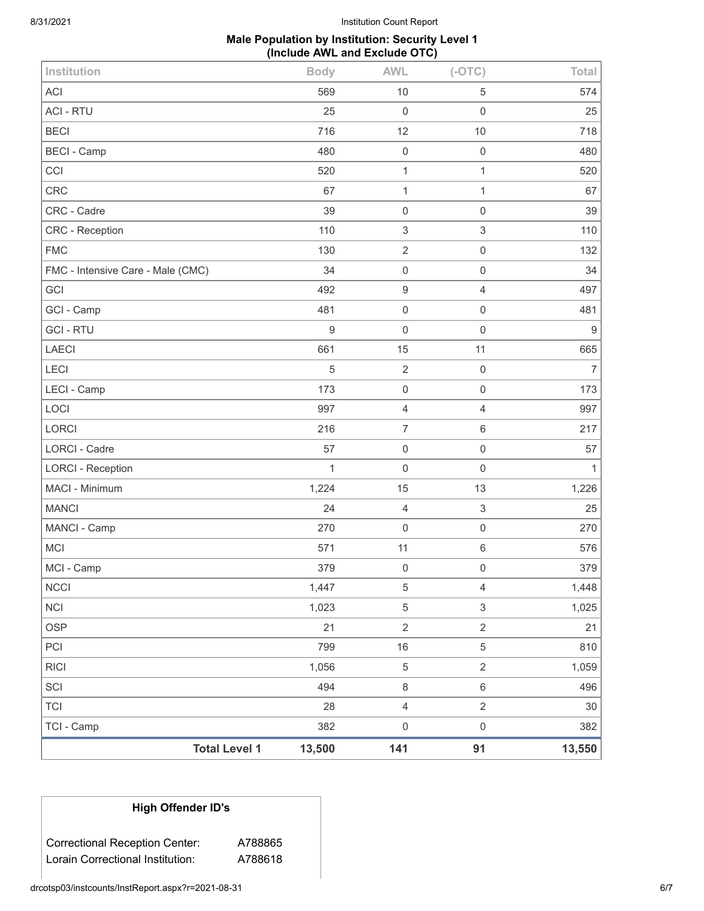8/31/2021 Institution Count Report

## **Male Population by Institution: Security Level 1 (Include AWL and Exclude OTC)**

| Institution                       | <b>Body</b>  | <b>AWL</b>                | $(-OTC)$                  | Total          |
|-----------------------------------|--------------|---------------------------|---------------------------|----------------|
| <b>ACI</b>                        | 569          | 10                        | 5                         | 574            |
| <b>ACI - RTU</b>                  | 25           | $\mathbf 0$               | $\mathsf 0$               | 25             |
| <b>BECI</b>                       | 716          | 12                        | $10$                      | 718            |
| <b>BECI - Camp</b>                | 480          | $\mathbf 0$               | $\mathsf 0$               | 480            |
| CCI                               | 520          | $\mathbf{1}$              | $\mathbf{1}$              | 520            |
| <b>CRC</b>                        | 67           | 1                         | $\mathbf{1}$              | 67             |
| CRC - Cadre                       | 39           | $\mathbf 0$               | $\mathsf 0$               | 39             |
| CRC - Reception                   | 110          | $\ensuremath{\mathsf{3}}$ | $\ensuremath{\mathsf{3}}$ | 110            |
| <b>FMC</b>                        | 130          | $\overline{2}$            | $\mathsf{O}\xspace$       | 132            |
| FMC - Intensive Care - Male (CMC) | 34           | $\mathbf 0$               | $\mathsf{O}\xspace$       | 34             |
| GCI                               | 492          | $\boldsymbol{9}$          | $\overline{4}$            | 497            |
| GCI - Camp                        | 481          | $\mathbf 0$               | $\mathsf 0$               | 481            |
| <b>GCI-RTU</b>                    | $\mathsf g$  | $\mathbf 0$               | 0                         | 9              |
| <b>LAECI</b>                      | 661          | 15                        | 11                        | 665            |
| LECI                              | 5            | $\sqrt{2}$                | $\mathsf 0$               | $\overline{7}$ |
| LECI - Camp                       | 173          | $\mathbf 0$               | $\mathsf 0$               | 173            |
| LOCI                              | 997          | $\overline{4}$            | $\overline{4}$            | 997            |
| LORCI                             | 216          | $\overline{7}$            | 6                         | 217            |
| <b>LORCI - Cadre</b>              | 57           | $\mathbf 0$               | $\mathsf{O}\xspace$       | 57             |
| <b>LORCI - Reception</b>          | $\mathbf{1}$ | $\mathsf{O}\xspace$       | $\mathsf 0$               | $\mathbf{1}$   |
| MACI - Minimum                    | 1,224        | 15                        | 13                        | 1,226          |
| <b>MANCI</b>                      | 24           | 4                         | $\ensuremath{\mathsf{3}}$ | 25             |
| MANCI - Camp                      | 270          | $\mathbf 0$               | $\mathsf{O}\xspace$       | 270            |
| <b>MCI</b>                        | 571          | 11                        | 6                         | 576            |
| MCI - Camp                        | 379          | $\mathbf 0$               | $\mathsf 0$               | 379            |
| <b>NCCI</b>                       | 1,447        | 5                         | $\overline{4}$            | 1,448          |
| <b>NCI</b>                        | 1,023        | $\,$ 5 $\,$               | $\mathfrak{S}$            | 1,025          |
| <b>OSP</b>                        | 21           | $\overline{c}$            | $\overline{2}$            | 21             |
| PCI                               | 799          | 16                        | 5                         | 810            |
| <b>RICI</b>                       | 1,056        | 5                         | $\overline{2}$            | 1,059          |
| SCI                               | 494          | $\,8\,$                   | $\,6$                     | 496            |
| <b>TCI</b>                        | 28           | $\overline{4}$            | $\overline{2}$            | 30             |
| TCI - Camp                        | 382          | $\mathbf 0$               | $\mathsf{O}\xspace$       | 382            |
| <b>Total Level 1</b>              | 13,500       | 141                       | 91                        | 13,550         |

## **High Offender ID's**

Correctional Reception Center: A788865 Lorain Correctional Institution: A788618